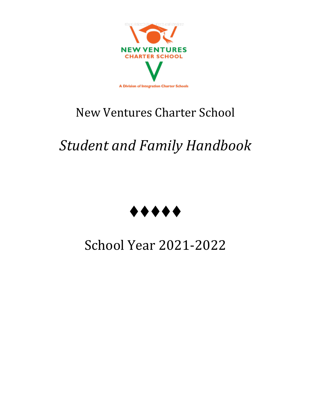

## New Ventures Charter School

# *Student and Family Handbook*



## School Year 2021-2022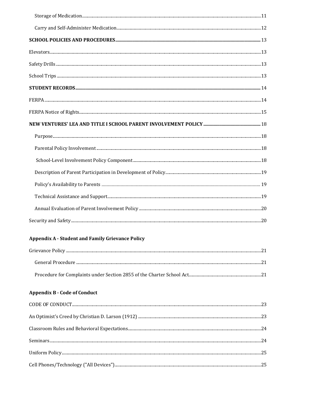| <b>Appendix A - Student and Family Grievance Policy</b> |  |
|---------------------------------------------------------|--|
|                                                         |  |
|                                                         |  |
|                                                         |  |
| <b>Appendix B - Code of Conduct</b>                     |  |
|                                                         |  |
|                                                         |  |
|                                                         |  |
|                                                         |  |
|                                                         |  |
|                                                         |  |
|                                                         |  |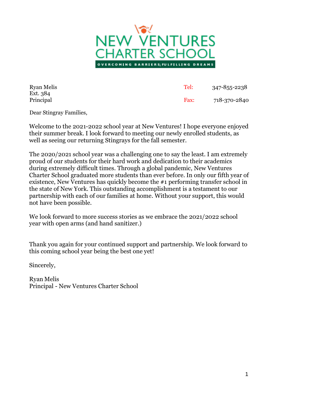

| <b>Ryan Melis</b>     | Tel: | 347-855-2238 |
|-----------------------|------|--------------|
| Ext. 384<br>Principal | Fax: | 718-370-2840 |

Dear Stingray Families,

Welcome to the 2021-2022 school year at New Ventures! I hope everyone enjoyed their summer break. I look forward to meeting our newly enrolled students, as well as seeing our returning Stingrays for the fall semester.

The 2020/2021 school year was a challenging one to say the least. I am extremely proud of our students for their hard work and dedication to their academics during extremely difficult times. Through a global pandemic, New Ventures Charter School graduated more students than ever before. In only our fifth year of existence, New Ventures has quickly become the #1 performing transfer school in the state of New York. This outstanding accomplishment is a testament to our partnership with each of our families at home. Without your support, this would not have been possible.

We look forward to more success stories as we embrace the 2021/2022 school year with open arms (and hand sanitizer.)

Thank you again for your continued support and partnership. We look forward to this coming school year being the best one yet!

Sincerely,

Ryan Melis Principal - New Ventures Charter School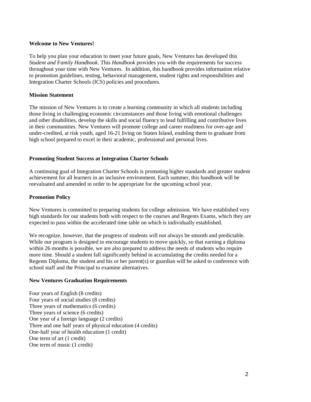#### <span id="page-5-0"></span>**Welcome to New Ventures!**

To help you plan your education to meet your future goals, New Ventures has developed this *Student and Family Handbook*. This *Handbook* provides you with the requirements for success throughout your time with New Ventures. In addition, this handbook provides information relative to promotion guidelines, testing, behavioral management, student rights and responsibilities and Integration Charter Schools (ICS) policies and procedures.

## <span id="page-5-1"></span>**Mission Statement**

The mission of New Ventures is to create a learning community in which all students including those living in challenging economic circumstances and those living with emotional challenges and other disabilities, develop the skills and social fluency to lead fulfilling and contributive lives in their communities. New Ventures will promote college and career readiness for over-age and under-credited, at risk youth, aged 16-21 living on Staten Island, enabling them to graduate from high school prepared to excel in their academic, professional and personal lives.

## <span id="page-5-2"></span>**Promoting Student Success at Integration Charter Schools**

A continuing goal of Integration Charter Schools is promoting higher standards and greater student achievement for all learners in an inclusive environment. Each summer, this handbook will be reevaluated and amended in order to be appropriate for the upcoming school year.

## <span id="page-5-3"></span>**Promotion Policy**

New Ventures is committed to preparing students for college admission. We have established very high standards for our students both with respect to the courses and Regents Exams, which they are expected to pass within the accelerated time table on which is individually established.

We recognize, however, that the progress of students will not always be smooth and predictable. While our program is designed to encourage students to move quickly, so that earning a diploma within 26 months is possible, we are also prepared to address the needs of students who require more time. Should a student fall significantly behind in accumulating the credits needed for a Regents Diploma, the student and his or her parent(s) or guardian will be asked to conference with school staff and the Principal to examine alternatives.

## <span id="page-5-4"></span>**New Ventures Graduation Requirements**

Four years of English (8 credits) Four years of social studies (8 credits) Three years of mathematics (6 credits) Three years of science (6 credits) One year of a foreign language (2 credits) Three and one half years of physical education (4 credits) One-half year of health education (1 credit) One term of art (1 credit) One term of music (1 credit)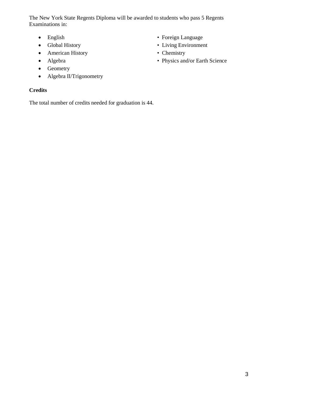The New York State Regents Diploma will be awarded to students who pass 5 Regents Examinations in:

- 
- 
- American History Chemistry
- 
- Geometry
- Algebra II/Trigonometry

## <span id="page-6-0"></span>**Credits**

The total number of credits needed for graduation is 44.

- English Foreign Language
- Global History Living Environment
	-
- Algebra Physics and/or Earth Science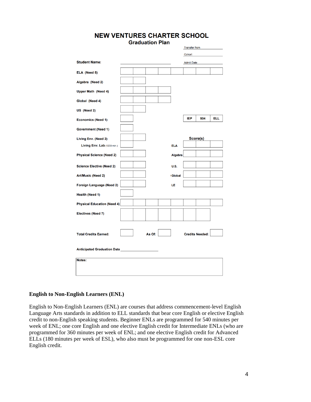|                                    |  | <b>Graduation Plan</b> |               |                      |                        |            |
|------------------------------------|--|------------------------|---------------|----------------------|------------------------|------------|
|                                    |  |                        |               | <b>Transfer from</b> |                        |            |
|                                    |  |                        |               | Cohort               |                        |            |
| <b>Student Name:</b>               |  |                        |               | <b>Admit Date</b>    |                        |            |
| ELA (Need 8)                       |  |                        |               |                      |                        |            |
| Algebra (Need 2)                   |  |                        |               |                      |                        |            |
| <b>Upper Math (Need 4)</b>         |  |                        |               |                      |                        |            |
| Global (Need 4)                    |  |                        |               |                      |                        |            |
| US (Need 2)                        |  |                        |               |                      |                        |            |
| <b>Economics (Need 1)</b>          |  |                        |               | <b>IEP</b>           | 504                    | <b>ELL</b> |
| <b>Government (Need 1)</b>         |  |                        |               |                      |                        |            |
| Living Env. (Need 2)               |  |                        |               |                      | Score(s)               |            |
| Living Env. Lab (1200 min.)        |  |                        | <b>ELA</b>    |                      |                        |            |
| <b>Physical Science (Need 2)</b>   |  |                        | Algebra       |                      |                        |            |
| <b>Science Elective (Need 2)</b>   |  |                        | <b>U.S.</b>   |                      |                        |            |
| <b>Art/Music (Need 2)</b>          |  |                        | <b>Global</b> |                      |                        |            |
| Foreign Language (Need 2)          |  |                        | LE            |                      |                        |            |
| <b>Health (Need 1)</b>             |  |                        |               |                      |                        |            |
| <b>Physical Education (Need 4)</b> |  |                        |               |                      |                        |            |
| <b>Electives (Need 7)</b>          |  |                        |               |                      |                        |            |
|                                    |  |                        |               |                      |                        |            |
| <b>Total Credits Earned:</b>       |  | As Of:                 |               |                      | <b>Credits Needed:</b> |            |
| <b>Anticipated Graduation Date</b> |  |                        |               |                      |                        |            |
| Notes:                             |  |                        |               |                      |                        |            |
|                                    |  |                        |               |                      |                        |            |
|                                    |  |                        |               |                      |                        |            |

## **NEW VENTURES CHARTER SCHOOL**

## <span id="page-7-0"></span>**English to Non-English Learners (ENL)**

English to Non-English Learners (ENL) are courses that address commencement-level English Language Arts standards in addition to ELL standards that bear core English or elective English credit to non-English speaking students. Beginner ENLs are programmed for 540 minutes per week of ENL; one core English and one elective English credit for Intermediate ENLs (who are programmed for 360 minutes per week of ENL; and one elective English credit for Advanced ELLs (180 minutes per week of ESL), who also must be programmed for one non-ESL core English credit.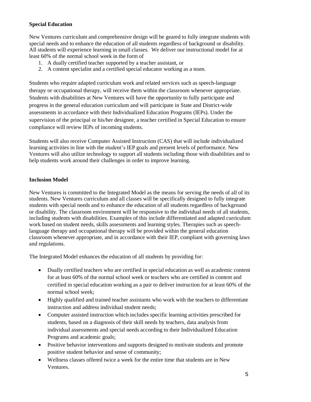## <span id="page-8-0"></span>**Special Education**

New Ventures curriculum and comprehensive design will be geared to fully integrate students with special needs and to enhance the education of all students regardless of background or disability. All students will experience learning in small classes. We deliver our instructional model for at least 60% of the normal school week in the form of

- 1. A dually certified teacher supported by a teacher assistant, or
- 2. A content specialist and a certified special educator working as a team.

Students who require adapted curriculum work and related services such as speech-language therapy or occupational therapy, will receive them within the classroom whenever appropriate. Students with disabilities at New Ventures will have the opportunity to fully participate and progress in the general education curriculum and will participate in State and District-wide assessments in accordance with their Individualized Education Programs (IEPs). Under the supervision of the principal or his/her designee, a teacher certified in Special Education to ensure compliance will review IEPs of incoming students.

Students will also receive Computer Assisted Instruction (CAS) that will include individualized learning activities in line with the student's IEP goals and present levels of performance. New Ventures will also utilize technology to support all students including those with disabilities and to help students work around their challenges in order to improve learning.

## <span id="page-8-1"></span>**Inclusion Model**

New Ventures is committed to the Integrated Model as the means for serving the needs of all of its students. New Ventures curriculum and all classes will be specifically designed to fully integrate students with special needs and to enhance the education of all students regardless of background or disability. The classroom environment will be responsive to the individual needs of all students, including students with disabilities. Examples of this include differentiated and adapted curriculum work based on student needs, skills assessments and learning styles. Therapies such as speechlanguage therapy and occupational therapy will be provided within the general education classroom whenever appropriate, and in accordance with their IEP, compliant with governing laws and regulations.

The Integrated Model enhances the education of all students by providing for:

- Dually certified teachers who are certified in special education as well as academic content for at least 60% of the normal school week or teachers who are certified in content and certified in special education working as a pair to deliver instruction for at least 60% of the normal school week;
- Highly qualified and trained teacher assistants who work with the teachers to differentiate instruction and address individual student needs;
- Computer assisted instruction which includes specific learning activities prescribed for students, based on a diagnosis of their skill needs by teachers, data analysis from individual assessments and special needs according to their Individualized Education Programs and academic goals;
- Positive behavior interventions and supports designed to motivate students and promote positive student behavior and sense of community;
- Wellness classes offered twice a week for the entire time that students are in New Ventures.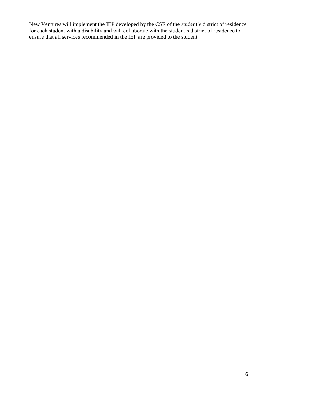New Ventures will implement the IEP developed by the CSE of the student's district of residence for each student with a disability and will collaborate with the student's district of residence to ensure that all services recommended in the IEP are provided to the student.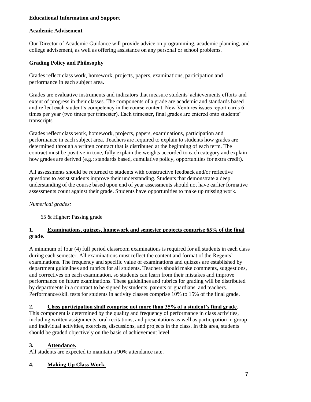## **Educational Information and Support**

## **Academic Advisement**

Our Director of Academic Guidance will provide advice on programming, academic planning, and college advisement, as well as offering assistance on any personal or school problems.

## **Grading Policy and Philosophy**

Grades reflect class work, homework, projects, papers, examinations, participation and performance in each subject area.

Grades are evaluative instruments and indicators that measure students' achievements, efforts, and extent of progress in their classes. The components of a grade are academic and standards based and reflect each student's competency in the course content. New Ventures issues report cards 6 times per year (two times per trimester). Each trimester, final grades are entered onto students' transcripts

Grades reflect class work, homework, projects, papers, examinations, participation and performance in each subject area. Teachers are required to explain to students how grades are determined through a written contract that is distributed at the beginning of each term. The contract must be positive in tone, fully explain the weights accorded to each category and explain how grades are derived (e.g.: standards based, cumulative policy, opportunities for extra credit).

All assessments should be returned to students with constructive feedback and/or reflective questions to assist students improve their understanding. Students that demonstrate a deep understanding of the course based upon end of year assessments should not have earlier formative assessments count against their grade. Students have opportunities to make up missing work.

## *Numerical grades:*

65 & Higher: Passing grade

## **1. Examinations, quizzes, homework and semester projects comprise 65% of the final grade.**

A minimum of four (4) full period classroom examinations is required for all students in each class during each semester. All examinations must reflect the content and format of the Regents' examinations. The frequency and specific value of examinations and quizzes are established by department guidelines and rubrics for all students. Teachers should make comments, suggestions, and correctives on each examination, so students can learn from their mistakes and improve performance on future examinations. These guidelines and rubrics for grading will be distributed by departments in a contract to be signed by students, parents or guardians, and teachers. Performance/skill tests for students in activity classes comprise 10% to 15% of the final grade.

## **2. Class participation shall comprise not more than 35% of a student's final grade**.

This component is determined by the quality and frequency of performance in class activities, including written assignments, oral recitations, and presentations as well as participation in group and individual activities, exercises, discussions, and projects in the class. In this area, students should be graded objectively on the basis of achievement level.

## **3. Attendance.**

All students are expected to maintain a 90% attendance rate.

## **4. Making Up Class Work.**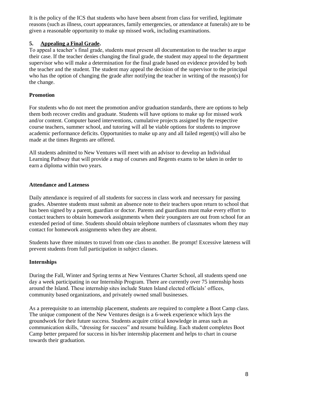It is the policy of the ICS that students who have been absent from class for verified, legitimate reasons (such as illness, court appearances, family emergencies, or attendance at funerals) are to be given a reasonable opportunity to make up missed work, including examinations.

## **5. Appealing a Final Grade.**

To appeal a teacher's final grade, students must present all documentation to the teacher to argue their case. If the teacher denies changing the final grade, the student may appeal to the department supervisor who will make a determination for the final grade based on evidence provided by both the teacher and the student. The student may appeal the decision of the supervisor to the principal who has the option of changing the grade after notifying the teacher in writing of the reason(s) for the change.

## <span id="page-11-0"></span>**Promotion**

For students who do not meet the promotion and/or graduation standards, there are options to help them both recover credits and graduate. Students will have options to make up for missed work and/or content. Computer based interventions, cumulative projects assigned by the respective course teachers, summer school, and tutoring will all be viable options for students to improve academic performance deficits. Opportunities to make up any and all failed regent(s) will also be made at the times Regents are offered.

All students admitted to New Ventures will meet with an advisor to develop an Individual Learning Pathway that will provide a map of courses and Regents exams to be taken in order to earn a diploma within two years.

## <span id="page-11-1"></span>**Attendance and Lateness**

Daily attendance is required of all students for success in class work and necessary for passing grades. Absentee students must submit an absence note to their teachers upon return to school that has been signed by a parent, guardian or doctor. Parents and guardians must make every effort to contact teachers to obtain homework assignments when their youngsters are out from school for an extended period of time. Students should obtain telephone numbers of classmates whom they may contact for homework assignments when they are absent.

Students have three minutes to travel from one class to another. Be prompt! Excessive lateness will prevent students from full participation in subject classes.

## <span id="page-11-2"></span>**Internships**

During the Fall, Winter and Spring terms at New Ventures Charter School, all students spend one day a week participating in our Internship Program. There are currently over 75 internship hosts around the Island. These internship sites include Staten Island elected officials' offices, community based organizations, and privately owned small businesses.

As a prerequisite to an internship placement, students are required to complete a Boot Camp class. The unique component of the New Ventures design is a 6-week experience which lays the groundwork for their future success. Students acquire critical knowledge in areas such as communication skills, "dressing for success" and resume building. Each student completes Boot Camp better prepared for success in his/her internship placement and helps to chart in course towards their graduation.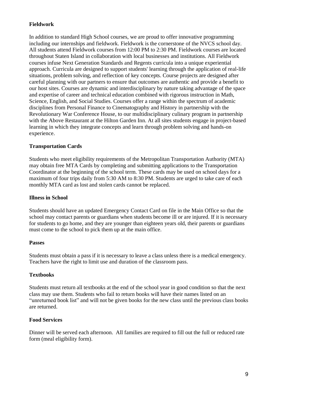## <span id="page-12-0"></span>**Fieldwork**

In addition to standard High School courses, we are proud to offer innovative programming including our internships and fieldwork. Fieldwork is the cornerstone of the NVCS school day. All students attend Fieldwork courses from 12:00 PM to 2:30 PM. Fieldwork courses are located throughout Staten Island in collaboration with local businesses and institutions. All Fieldwork courses infuse Next Generation Standards and Regents curricula into a unique experiential approach. Curricula are designed to support students' learning through the application of real-life situations, problem solving, and reflection of key concepts. Course projects are designed after careful planning with our partners to ensure that outcomes are authentic and provide a benefit to our host sites. Courses are dynamic and interdisciplinary by nature taking advantage of the space and expertise of career and technical education combined with rigorous instruction in Math, Science, English, and Social Studies. Courses offer a range within the spectrum of academic disciplines from Personal Finance to Cinematography and History in partnership with the Revolutionary War Conference House, to our multidisciplinary culinary program in partnership with the Above Restaurant at the Hilton Garden Inn. At all sites students engage in project-based learning in which they integrate concepts and learn through problem solving and hands-on experience.

## <span id="page-12-1"></span>**Transportation Cards**

Students who meet eligibility requirements of the Metropolitan Transportation Authority (MTA) may obtain free MTA Cards by completing and submitting applications to the Transportation Coordinator at the beginning of the school term. These cards may be used on school days for a maximum of four trips daily from 5:30 AM to 8:30 PM. Students are urged to take care of each monthly MTA card as lost and stolen cards cannot be replaced.

## <span id="page-12-2"></span>**Illness in School**

Students should have an updated Emergency Contact Card on file in the Main Office so that the school may contact parents or guardians when students become ill or are injured. If it is necessary for students to go home, and they are younger than eighteen years old, their parents or guardians must come to the school to pick them up at the main office.

## <span id="page-12-3"></span>**Passes**

Students must obtain a pass if it is necessary to leave a class unless there is a medical emergency. Teachers have the right to limit use and duration of the classroom pass.

## <span id="page-12-4"></span>**Textbooks**

Students must return all textbooks at the end of the school year in good condition so that the next class may use them. Students who fail to return books will have their names listed on an "unreturned book list" and will not be given books for the new class until the previous class books are returned.

## <span id="page-12-5"></span>**Food Services**

Dinner will be served each afternoon. All families are required to fill out the full or reduced rate form (meal eligibility form).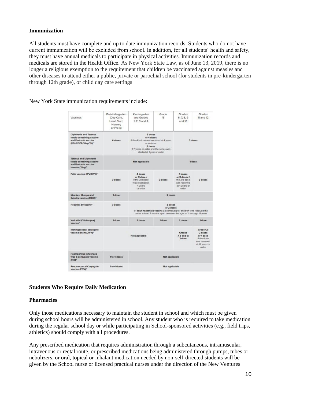## <span id="page-13-0"></span>**Immunization**

All students must have complete and up to date immunization records. Students who do not have current immunization will be excluded from school. In addition, for all students' health and safety, they must have annual medicals to participate in physical activities. Immunization records and medicals are stored in the Health Office. As New York State Law, as of June 13, 2019, there is no longer a religious exemption to the requirement that children be vaccinated against measles and other diseases to attend either a public, private or parochial school (for students in pre-kindergarten through 12th grade), or child day care settings

New York State immunization requirements include:

| Vaccines                                                                                                           | Prekindergarten<br>(Day Care,<br>Head Start.<br>Nursery<br>or Pre-kt | Kindergarten<br>and Grades<br>$1, 2, 3$ and $4$                                                                                                                           | Grade<br>5 | Grades<br>6.7.8.9<br>and 10                                                        | Grades<br>11 and 12                                                                         |  |
|--------------------------------------------------------------------------------------------------------------------|----------------------------------------------------------------------|---------------------------------------------------------------------------------------------------------------------------------------------------------------------------|------------|------------------------------------------------------------------------------------|---------------------------------------------------------------------------------------------|--|
| <b>Diphtheria and Tetanus</b><br>toxoid-containing vaccine<br>and Pertussis vaccine<br>(DTaP/DTP/Tdap/Td)2         | 4 doses                                                              | 5 doses<br>or 4 doses<br>If the 4th dose was received at 4 years<br>or older or<br>3 doses<br>If 7 years or older and the series was<br>started at 1 year or older        |            | 3 doses                                                                            |                                                                                             |  |
| <b>Tetanus and Diphtheria</b><br>toxoid-containing vaccine<br>and Pertussis vaccine<br>booster (Tdap) <sup>3</sup> |                                                                      | Not applicable                                                                                                                                                            | 1 dose     |                                                                                    |                                                                                             |  |
| Pollo vaccine (IPV/OPV) <sup>4</sup>                                                                               | 3 doses                                                              | 4 doses<br>or 3 doses<br>if the 3rd dose<br>was received at<br>4 years<br>or aider                                                                                        | 3 doses    | 4 doses<br>or 3 doses if<br>the 3rd dose<br>was received<br>at 4 years or<br>older | 3 doses                                                                                     |  |
| Measles, Mumps and<br>Rubella vaccine (MMR) <sup>®</sup>                                                           | 1 dose                                                               | 2 doses                                                                                                                                                                   |            |                                                                                    |                                                                                             |  |
| <b>Hepatitis B vaccine®</b>                                                                                        | 3 doses                                                              | 3 doses<br>or 2 doses<br>of adult hepatitis B vaccine (Recombivas) for children who received the<br>doses at least 4 months apart between the ages of 11 through 15 years |            |                                                                                    |                                                                                             |  |
| Varicella (Chickenpox)<br>vaccine <sup>2</sup>                                                                     | 1 dose                                                               | 2 doses                                                                                                                                                                   | 1 dose     | $2$ doses                                                                          | 1 dose                                                                                      |  |
| Meningococcal conjugate<br>vaccine (MenACWY)*                                                                      |                                                                      | Not applicable                                                                                                                                                            |            | Grades<br>7, 8 and 9:<br>1 dose                                                    | Grade 12:<br>2 doses<br>or 1 dose<br>If the dose<br>was received<br>at 16 years or<br>older |  |
| Haemophilus influenzae<br>type b conjugate vaccine<br>$IHibI*$                                                     | 1 to 4 doses                                                         | Not applicable                                                                                                                                                            |            |                                                                                    |                                                                                             |  |
| Pneumococcal Conjugate<br>vaccine (PCV) <sup>10</sup>                                                              | 1 to 4 doses                                                         | Not applicable                                                                                                                                                            |            |                                                                                    |                                                                                             |  |

## **Students Who Require Daily Medication**

## **Pharmacies**

Only those medications necessary to maintain the student in school and which must be given during school hours will be administered in school. Any student who is required to take medication during the regular school day or while participating in School-sponsored activities (e.g., field trips, athletics) should comply with all procedures.

Any prescribed medication that requires administration through a subcutaneous, intramuscular, intravenous or rectal route, or prescribed medications being administered through pumps, tubes or nebulizers, or oral, topical or inhalant medication needed by non-self-directed students will be given by the School nurse or licensed practical nurses under the direction of the New Ventures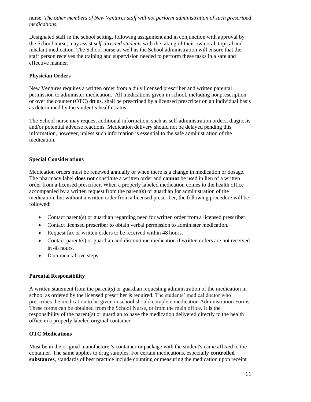nurse. *The other members of New Ventures staff will not perform administration of such prescribed medications.*

Designated staff in the school setting, following assignment and in conjunction with approval by the School nurse, may assist *self-directed students* with the taking of their own oral, topical and inhalant medication. The School nurse as well as the School administration will ensure that the staff person receives the training and supervision needed to perform these tasks in a safe and effective manner.

## <span id="page-14-0"></span>**Physician Orders**

New Ventures requires a written order from a duly licensed prescriber and written parental permission to administer medication. All medications given in school, including nonprescription or over the counter (OTC) drugs, shall be prescribed by a licensed prescriber on an individual basis as determined by the student's health status.

The School nurse may request additional information, such as self-administration orders, diagnosis and/or potential adverse reactions. Medication delivery should not be delayed pending this information, however, unless such information is essential to the safe administration of the medication.

## <span id="page-14-1"></span>**Special Considerations**

Medication orders must be renewed annually or when there is a change in medication or dosage. The pharmacy label **does not** constitute a written order and **cannot** be used in lieu of a written order from a licensed prescriber. When a properly labeled medication comes to the health office accompanied by a written request from the parent(s) or guardian for administration of the medication, but without a written order from a licensed prescriber, the following procedure will be followed:

- Contact parent(s) or guardian regarding need for written order from a licensed prescriber.
- Contact licensed prescriber to obtain verbal permission to administer medication.
- Request fax or written orders to be received within 48 hours.
- Contact parent(s) or guardian and discontinue medication if written orders are not received in 48 hours.
- Document above steps.

## <span id="page-14-2"></span>**Parental Responsibility**

A written statement from the parent(s) or guardian requesting administration of the medication in school as ordered by the licensed prescriber is required. The students' medical doctor who prescribes the medication to be given in school should complete medication Administration Forms. These forms can be obtained from the School Nurse, or from the main office. It is the responsibility of the parent(s) or guardian to have the medication delivered directly to the health office in a properly labeled original container.

## <span id="page-14-3"></span>**OTC Medications**

Must be in the original manufacturer's container or package with the student's name affixed to the container. The same applies to drug samples. For certain medications, especially **controlled substances**, standards of best practice include counting or measuring the medication upon receipt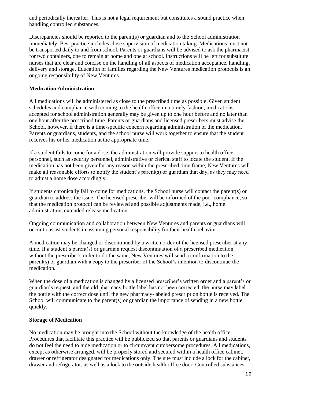and periodically thereafter. This is not a legal requirement but constitutes a sound practice when handling controlled substances.

Discrepancies should be reported to the parent(s) or guardian and to the School administration immediately. Best practice includes close supervision of medication taking. Medications must not be transported daily to and from school. Parents or guardians will be advised to ask the pharmacist for two containers, one to remain at home and one at school. Instructions will be left for substitute nurses that are clear and concise on the handling of all aspects of medication acceptance, handling, delivery and storage. Education of families regarding the New Ventures medication protocols is an ongoing responsibility of New Ventures.

## <span id="page-15-0"></span>**Medication Administration**

All medications will be administered as close to the prescribed time as possible. Given student schedules and compliance with coming to the health office in a timely fashion, medications accepted for school administration generally may be given up to one hour before and no later than one hour after the prescribed time. Parents or guardians and licensed prescribers must advise the School, however, if there is a time-specific concern regarding administration of the medication. Parents or guardians, students, and the school nurse will work together to ensure that the student receives his or her medication at the appropriate time.

If a student fails to come for a dose, the administration will provide support to health office personnel, such as security personnel, administrative or clerical staff to locate the student. If the medication has not been given for any reason within the prescribed time frame, New Ventures will make all reasonable efforts to notify the student's parent(s) or guardian that day, as they may need to adjust a home dose accordingly.

If students chronically fail to come for medications, the School nurse will contact the parent(s) or guardian to address the issue. The licensed prescriber will be informed of the poor compliance, so that the medication protocol can be reviewed and possible adjustments made, i.e., home administration, extended release medication.

Ongoing communication and collaboration between New Ventures and parents or guardians will occur to assist students in assuming personal responsibility for their health behavior.

A medication may be changed or discontinued by a written order of the licensed prescriber at any time. If a student's parent(s) or guardian request discontinuation of a prescribed medication without the prescriber's order to do the same, New Ventures will send a confirmation to the parent(s) or guardian with a copy to the prescriber of the School's intention to discontinue the medication.

When the dose of a medication is changed by a licensed prescriber's written order and a parent's or guardian's request, and the old pharmacy bottle label has not been corrected, the nurse may label the bottle with the correct dose until the new pharmacy-labeled prescription bottle is received. The School will communicate to the parent(s) or guardian the importance of sending in a new bottle quickly.

## <span id="page-15-1"></span>**Storage of Medication**

No medication may be brought into the School without the knowledge of the health office. Procedures that facilitate this practice will be publicized so that parents or guardians and students do not feel the need to hide medication or to circumvent cumbersome procedures. All medications, except as otherwise arranged, will be properly stored and secured within a health office cabinet, drawer or refrigerator designated for medications only. The site must include a lock for the cabinet, drawer and refrigerator, as well as a lock to the outside health office door. Controlled substances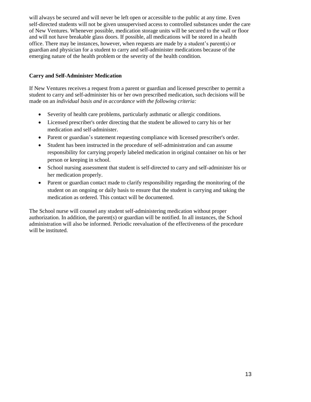will always be secured and will never be left open or accessible to the public at any time. Even self-directed students will not be given unsupervised access to controlled substances under the care of New Ventures. Whenever possible, medication storage units will be secured to the wall or floor and will not have breakable glass doors. If possible, all medications will be stored in a health office. There may be instances, however, when requests are made by a student's parent(s) or guardian and physician for a student to carry and self-administer medications because of the emerging nature of the health problem or the severity of the health condition.

## <span id="page-16-0"></span>**Carry and Self-Administer Medication**

If New Ventures receives a request from a parent or guardian and licensed prescriber to permit a student to carry and self-administer his or her own prescribed medication, such decisions will be made on an *individual basis and in accordance with the following criteria:*

- Severity of health care problems, particularly asthmatic or allergic conditions.
- Licensed prescriber's order directing that the student be allowed to carry his or her medication and self-administer.
- Parent or guardian's statement requesting compliance with licensed prescriber's order.
- Student has been instructed in the procedure of self-administration and can assume responsibility for carrying properly labeled medication in original container on his or her person or keeping in school.
- School nursing assessment that student is self-directed to carry and self-administer his or her medication properly.
- Parent or guardian contact made to clarify responsibility regarding the monitoring of the student on an ongoing or daily basis to ensure that the student is carrying and taking the medication as ordered. This contact will be documented.

The School nurse will counsel any student self-administering medication without proper authorization. In addition, the parent(s) or guardian will be notified. In all instances, the School administration will also be informed. Periodic reevaluation of the effectiveness of the procedure will be instituted.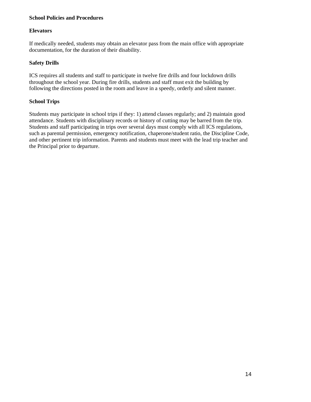## **School Policies and Procedures**

## **Elevators**

If medically needed, students may obtain an elevator pass from the main office with appropriate documentation, for the duration of their disability.

## <span id="page-17-0"></span>**Safety Drills**

ICS requires all students and staff to participate in twelve fire drills and four lockdown drills throughout the school year. During fire drills, students and staff must exit the building by following the directions posted in the room and leave in a speedy, orderly and silent manner.

## <span id="page-17-1"></span>**School Trips**

Students may participate in school trips if they: 1) attend classes regularly; and 2) maintain good attendance. Students with disciplinary records or history of cutting may be barred from the trip. Students and staff participating in trips over several days must comply with all ICS regulations, such as parental permission, emergency notification, chaperone/student ratio, the Discipline Code, and other pertinent trip information. Parents and students must meet with the lead trip teacher and the Principal prior to departure.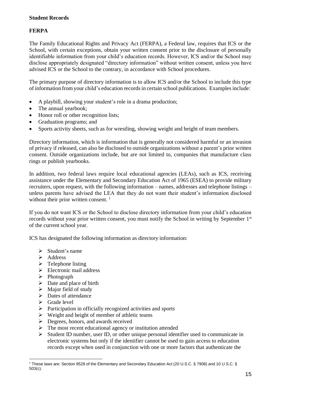## **FERPA**

The Family Educational Rights and Privacy Act (FERPA), a Federal law, requires that ICS or the School, with certain exceptions, obtain your written consent prior to the disclosure of personally identifiable information from your child's education records. However, ICS and/or the School may disclose appropriately designated "directory information" without written consent, unless you have advised ICS or the School to the contrary, in accordance with School procedures.

The primary purpose of directory information is to allow ICS and/or the School to include this type of information from your child's education recordsin certain school publications. Examplesinclude:

- A playbill, showing your student's role in a drama production;
- The annual yearbook;
- Honor roll or other recognition lists;
- Graduation programs; and
- Sports activity sheets, such as for wrestling, showing weight and height of team members.

Directory information, which is information that is generally not considered harmful or an invasion of privacy if released, can also be disclosed to outside organizations without a parent's prior written consent. Outside organizations include, but are not limited to, companies that manufacture class rings or publish yearbooks.

In addition, two federal laws require local educational agencies (LEAs), such as ICS, receiving assistance under the Elementary and Secondary Education Act of 1965 (ESEA) to provide military recruiters, upon request, with the following information – names, addresses and telephone listings – unless parents have advised the LEA that they do not want their student's information disclosed without their prior written consent.<sup>1</sup>

If you do not want ICS or the School to disclose directory information from your child's education records without your prior written consent, you must notify the School in writing by September  $1<sup>st</sup>$ of the current school year.

ICS has designated the following information as directory information:

- $\triangleright$  Student's name
- ➢ Address
- $\triangleright$  Telephone listing
- ➢ Electronic mail address
- ➢ Photograph
- $\triangleright$  Date and place of birth
- $\triangleright$  Major field of study
- ➢ Dates of attendance
- ➢ Grade level
- ➢ Participation in officially recognized activities and sports
- $\triangleright$  Weight and height of member of athletic teams
- ➢ Degrees, honors, and awards received
- $\triangleright$  The most recent educational agency or institution attended
- $\triangleright$  Student ID number, user ID, or other unique personal identifier used to communicate in electronic systems but only if the identifier cannot be used to gain access to education records except when used in conjunction with one or more factors that authenticate the

<sup>1</sup> These laws are: Section 9528 of the Elementary and Secondary Education Act (20 U.S.C. § 7908) and 10 U.S.C. § 503(c).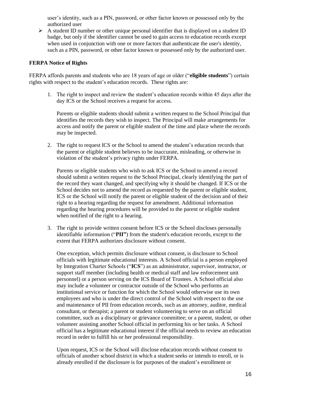user's identity, such as a PIN, password, or other factor known or possessed only by the authorized user

➢ A student ID number or other unique personal identifier that is displayed on a student ID badge, but only if the identifier cannot be used to gain access to education records except when used in conjunction with one or more factors that authenticate the user's identity, such as a PIN, password, or other factor known or possessed only by the authorized user.

#### <span id="page-19-0"></span>**FERPA Notice of Rights**

FERPA affords parents and students who are 18 years of age or older ("**eligible students**") certain rights with respect to the student's education records. These rights are:

1. The right to inspect and review the student's education records within 45 days after the day ICS or the School receives a request for access.

Parents or eligible students should submit a written request to the School Principal that identifies the records they wish to inspect. The Principal will make arrangements for access and notify the parent or eligible student of the time and place where the records may be inspected.

2. The right to request ICS or the School to amend the student's education records that the parent or eligible student believes to be inaccurate, misleading, or otherwise in violation of the student's privacy rights under FERPA.

Parents or eligible students who wish to ask ICS or the School to amend a record should submit a written request to the School Principal, clearly identifying the part of the record they want changed, and specifying why it should be changed. If ICS or the School decides not to amend the record as requested by the parent or eligible student, ICS or the School will notify the parent or eligible student of the decision and of their right to a hearing regarding the request for amendment. Additional information regarding the hearing procedures will be provided to the parent or eligible student when notified of the right to a hearing.

3. The right to provide written consent before ICS or the School discloses personally identifiable information ("**PII"**) from the student's education records, except to the extent that FERPA authorizes disclosure without consent.

One exception, which permits disclosure without consent, is disclosure to School officials with legitimate educational interests. A School official is a person employed by Integration Charter Schools ("**ICS**") as an administrator, supervisor, instructor, or support staff member (including health or medical staff and law enforcement unit personnel) or a person serving on the ICS Board of Trustees. A School official also may include a volunteer or contractor outside of the School who performs an institutional service or function for which the School would otherwise use its own employees and who is under the direct control of the School with respect to the use and maintenance of PII from education records, such as an attorney, auditor, medical consultant, or therapist; a parent or student volunteering to serve on an official committee, such as a disciplinary or grievance committee; or a parent, student, or other volunteer assisting another School official in performing his or her tasks. A School official has a legitimate educational interest if the official needs to review an education record in order to fulfill his or her professional responsibility.

Upon request, ICS or the School will disclose education records without consent to officials of another school district in which a student seeks or intends to enroll, or is already enrolled if the disclosure is for purposes of the student's enrollment or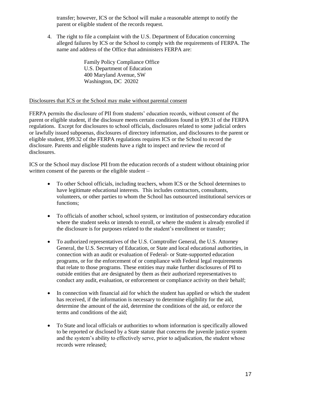transfer; however, ICS or the School will make a reasonable attempt to notify the parent or eligible student of the records request.

4. The right to file a complaint with the U.S. Department of Education concerning alleged failures by ICS or the School to comply with the requirements of FERPA. The name and address of the Office that administers FERPA are:

> Family Policy Compliance Office U.S. Department of Education 400 Maryland Avenue, SW Washington, DC 20202

#### Disclosures that ICS or the School may make without parental consent

FERPA permits the disclosure of PII from students' education records, without consent of the parent or eligible student, if the disclosure meets certain conditions found in §99.31 of the FERPA regulations. Except for disclosures to school officials, disclosures related to some judicial orders or lawfully issued subpoenas, disclosures of directory information, and disclosures to the parent or eligible student, §99.32 of the FERPA regulations requires ICS or the School to record the disclosure. Parents and eligible students have a right to inspect and review the record of disclosures.

ICS or the School may disclose PII from the education records of a student without obtaining prior written consent of the parents or the eligible student –

- To other School officials, including teachers, whom ICS or the School determines to have legitimate educational interests. This includes contractors, consultants, volunteers, or other parties to whom the School has outsourced institutional services or functions;
- To officials of another school, school system, or institution of postsecondary education where the student seeks or intends to enroll, or where the student is already enrolled if the disclosure is for purposes related to the student's enrollment or transfer;
- To authorized representatives of the U.S. Comptroller General, the U.S. Attorney General, the U.S. Secretary of Education, or State and local educational authorities, in connection with an audit or evaluation of Federal- or State-supported education programs, or for the enforcement of or compliance with Federal legal requirements that relate to those programs. These entities may make further disclosures of PII to outside entities that are designated by them as their authorized representatives to conduct any audit, evaluation, or enforcement or compliance activity on their behalf;
- In connection with financial aid for which the student has applied or which the student has received, if the information is necessary to determine eligibility for the aid, determine the amount of the aid, determine the conditions of the aid, or enforce the terms and conditions of the aid;
- To State and local officials or authorities to whom information is specifically allowed to be reported or disclosed by a State statute that concerns the juvenile justice system and the system's ability to effectively serve, prior to adjudication, the student whose records were released;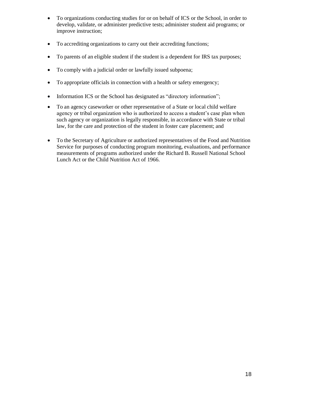- To organizations conducting studies for or on behalf of ICS or the School, in order to develop, validate, or administer predictive tests; administer student aid programs; or improve instruction;
- To accrediting organizations to carry out their accrediting functions;
- To parents of an eligible student if the student is a dependent for IRS tax purposes;
- To comply with a judicial order or lawfully issued subpoena;
- To appropriate officials in connection with a health or safety emergency;
- Information ICS or the School has designated as "directory information";
- To an agency caseworker or other representative of a State or local child welfare agency or tribal organization who is authorized to access a student's case plan when such agency or organization is legally responsible, in accordance with State or tribal law, for the care and protection of the student in foster care placement; and
- To the Secretary of Agriculture or authorized representatives of the Food and Nutrition Service for purposes of conducting program monitoring, evaluations, and performance measurements of programs authorized under the Richard B. Russell National School Lunch Act or the Child Nutrition Act of 1966.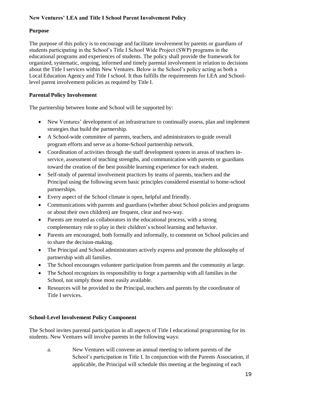## **New Ventures' LEA and Title I School Parent Involvement Policy**

## **Purpose**

The purpose of this policy is to encourage and facilitate involvement by parents or guardians of students participating in the School's Title I School Wide Project (SWP) programs in the educational programs and experiences of students. The policy shall provide the framework for organized, systematic, ongoing, informed and timely parental involvement in relation to decisions about the Title I services within New Ventures. Below is the School's policy acting as both a Local Education Agency and Title I school. It thus fulfills the requirements for LEA and Schoollevel parent involvement policies as required by Title I.

## <span id="page-22-0"></span>**Parental Policy Involvement**

The partnership between home and School will be supported by:

- New Ventures' development of an infrastructure to continually assess, plan and implement strategies that build the partnership.
- A School-wide committee of parents, teachers, and administrators to guide overall program efforts and serve as a home-School partnership network.
- Coordination of activities through the staff development system in areas of teachers inservice, assessment of teaching strengths, and communication with parents or guardians toward the creation of the best possible learning experience for each student.
- Self-study of parental involvement practices by teams of parents, teachers and the Principal using the following seven basic principles considered essential to home-school partnerships.
- Every aspect of the School climate is open, helpful and friendly.
- Communications with parents and guardians (whether about School policies and programs or about their own children) are frequent, clear and two-way.
- Parents are treated as collaborators in the educational process, with a strong complementary role to play in their children's school learning and behavior.
- Parents are encouraged, both formally and informally, to comment on School policies and to share the decision-making.
- The Principal and School administrators actively express and promote the philosophy of partnership with all families.
- The School encourages volunteer participation from parents and the community at large.
- The School recognizes its responsibility to forge a partnership with all families in the School, not simply those most easily available.
- Resources will be provided to the Principal, teachers and parents by the coordinator of Title I services.

## <span id="page-22-1"></span>**School-Level Involvement Policy Component**

The School invites parental participation in all aspects of Title I educational programming for its students. New Ventures will involve parents in the following ways:

a. New Ventures will convene an annual meeting to inform parents of the School's participation in Title I. In conjunction with the Parents Association, if applicable, the Principal will schedule this meeting at the beginning of each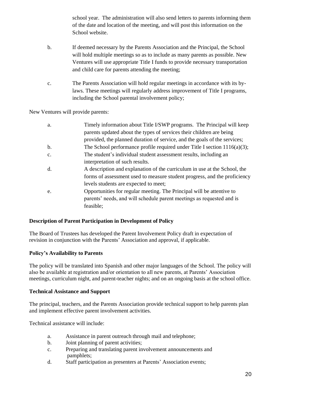school year. The administration will also send letters to parents informing them of the date and location of the meeting, and will post this information on the School website.

- b. If deemed necessary by the Parents Association and the Principal, the School will hold multiple meetings so as to include as many parents as possible. New Ventures will use appropriate Title I funds to provide necessary transportation and child care for parents attending the meeting;
- c. The Parents Association will hold regular meetings in accordance with its bylaws. These meetings will regularly address improvement of Title I programs, including the School parental involvement policy;

New Ventures will provide parents:

| a.             | Timely information about Title I/SWP programs. The Principal will keep       |
|----------------|------------------------------------------------------------------------------|
|                | parents updated about the types of services their children are being         |
|                | provided, the planned duration of service, and the goals of the services;    |
| b.             | The School performance profile required under Title I section $1116(a)(3)$ ; |
| $\mathbf{c}$ . | The student's individual student assessment results, including an            |
|                | interpretation of such results.                                              |
| d.             | A description and explanation of the curriculum in use at the School, the    |
|                | forms of assessment used to measure student progress, and the proficiency    |
|                | levels students are expected to meet;                                        |
| e.             | Opportunities for regular meeting. The Principal will be attentive to        |
|                | parents' needs, and will schedule parent meetings as requested and is        |
|                | feasible;                                                                    |

## <span id="page-23-0"></span>**Description of Parent Participation in Development of Policy**

The Board of Trustees has developed the Parent Involvement Policy draft in expectation of revision in conjunction with the Parents' Association and approval, if applicable.

## <span id="page-23-1"></span>**Policy's Availability to Parents**

The policy will be translated into Spanish and other major languages of the School. The policy will also be available at registration and/or orientation to all new parents, at Parents' Association meetings, curriculum night, and parent-teacher nights; and on an ongoing basis at the school office.

## <span id="page-23-2"></span>**Technical Assistance and Support**

The principal, teachers, and the Parents Association provide technical support to help parents plan and implement effective parent involvement activities.

Technical assistance will include:

- a. Assistance in parent outreach through mail and telephone;
- b. Joint planning of parent activities;
- c. Preparing and translating parent involvement announcements and pamphlets;
- d. Staff participation as presenters at Parents' Association events;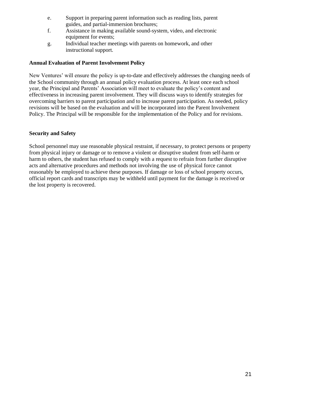- e. Support in preparing parent information such as reading lists, parent guides, and partial-immersion brochures;
- f. Assistance in making available sound-system, video, and electronic equipment for events;
- g. Individual teacher meetings with parents on homework, and other instructional support.

## <span id="page-24-0"></span>**Annual Evaluation of Parent Involvement Policy**

New Ventures' will ensure the policy is up-to-date and effectively addresses the changing needs of the School community through an annual policy evaluation process. At least once each school year, the Principal and Parents' Association will meet to evaluate the policy's content and effectiveness in increasing parent involvement. They will discuss ways to identify strategies for overcoming barriers to parent participation and to increase parent participation. As needed, policy revisions will be based on the evaluation and will be incorporated into the Parent Involvement Policy. The Principal will be responsible for the implementation of the Policy and for revisions.

## <span id="page-24-1"></span>**Security and Safety**

School personnel may use reasonable physical restraint, if necessary, to protect persons or property from physical injury or damage or to remove a violent or disruptive student from self-harm or harm to others, the student has refused to comply with a request to refrain from further disruptive acts and alternative procedures and methods not involving the use of physical force cannot reasonably be employed to achieve these purposes. If damage or loss of school property occurs, official report cards and transcripts may be withheld until payment for the damage is received or the lost property is recovered.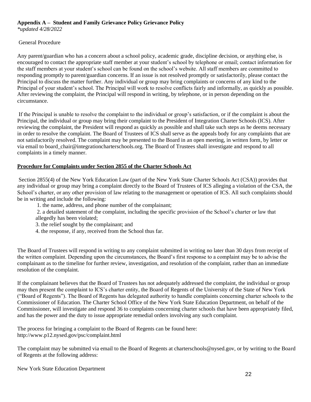## **Appendix A – Student and Family Grievance Policy Grievance Policy**

*\*updated 4/28/2022*

## General Procedure

Any parent/guardian who has a concern about a school policy, academic grade, discipline decision, or anything else, is encouraged to contact the appropriate staff member at your student's school by telephone or email; contact information for the staff members at your student's school can be found on the school's website. All staff members are committed to responding promptly to parent/guardian concerns. If an issue is not resolved promptly or satisfactorily, please contact the Principal to discuss the matter further. Any individual or group may bring complaints or concerns of any kind to the Principal of your student's school. The Principal will work to resolve conflicts fairly and informally, as quickly as possible. After reviewing the complaint, the Principal will respond in writing, by telephone, or in person depending on the circumstance.

If the Principal is unable to resolve the complaint to the individual or group's satisfaction, or if the complaint is about the Principal, the individual or group may bring their complaint to the President of Integration Charter Schools (ICS). After reviewing the complaint, the President will respond as quickly as possible and shall take such steps as he deems necessary in order to resolve the complaint. The Board of Trustees of ICS shall serve as the appeals body for any complaints that are not satisfactorily resolved. The complaint may be presented to the Board in an open meeting, in written form, by letter or via email to board\_chair@integrationcharterschools.org. The Board of Trustees shall investigate and respond to all complaints in a timely manner.

## **Procedure for Complaints under Section 2855 of the Charter Schools Act**

Section 2855(4) of the New York Education Law (part of the New York State Charter Schools Act (CSA)) provides that any individual or group may bring a complaint directly to the Board of Trustees of ICS alleging a violation of the CSA, the School's charter, or any other provision of law relating to the management or operation of ICS. All such complaints should be in writing and include the following:

- 1. the name, address, and phone number of the complainant;
- 2. a detailed statement of the complaint, including the specific provision of the School's charter or law that allegedly has been violated;
- 3. the relief sought by the complainant; and
- 4. the response, if any, received from the School thus far.

The Board of Trustees will respond in writing to any complaint submitted in writing no later than 30 days from receipt of the written complaint. Depending upon the circumstances, the Board's first response to a complaint may be to advise the complainant as to the timeline for further review, investigation, and resolution of the complaint, rather than an immediate resolution of the complaint.

If the complainant believes that the Board of Trustees has not adequately addressed the complaint, the individual or group may then present the complaint to ICS's charter entity, the Board of Regents of the University of the State of New York ("Board of Regents"). The Board of Regents has delegated authority to handle complaints concerning charter schools to the Commissioner of Education. The Charter School Office of the New York State Education Department, on behalf of the Commissioner, will investigate and respond 36 to complaints concerning charter schools that have been appropriately filed, and has the power and the duty to issue appropriate remedial orders involving any such complaint.

The process for bringing a complaint to the Board of Regents can be found here: http://www.p12.nysed.gov/psc/complaint.html

The complaint may be submitted via email to the Board of Regents at charterschools@nysed.gov, or by writing to the Board of Regents at the following address: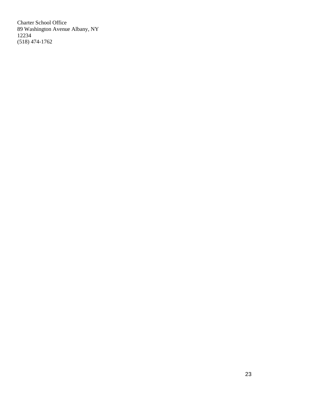Charter School Office 89 Washington Avenue Albany, NY 12234 (518) 474-1762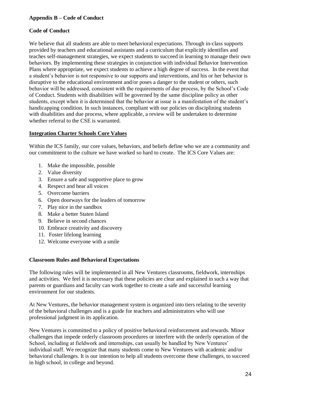## **Appendix B – Code of Conduct**

## **Code of Conduct**

We believe that all students are able to meet behavioral expectations. Through in-class supports provided by teachers and educational assistants and a curriculum that explicitly identifies and teaches self-management strategies, we expect students to succeed in learning to manage their own behaviors. By implementing these strategies in conjunction with individual Behavior Intervention Plans where appropriate, we expect students to achieve a high degree of success. In the event that a student's behavior is not responsive to our supports and interventions, and his or her behavior is disruptive to the educational environment and/or poses a danger to the student or others, such behavior will be addressed, consistent with the requirements of due process, by the School's Code of Conduct. Students with disabilities will be governed by the same discipline policy as other students, except when it is determined that the behavior at issue is a manifestation of the student's handicapping condition. In such instances, compliant with our policies on disciplining students with disabilities and due process, where applicable, a review will be undertaken to determine whether referral to the CSE is warranted.

## **Integration Charter Schools Core Values**

Within the ICS family, our core values, behaviors, and beliefs define who we are a community and our commitment to the culture we have worked so hard to create. The ICS Core Values are:

- 1. Make the impossible, possible
- 2. Value diversity
- 3. Ensure a safe and supportive place to grow
- 4. Respect and hear all voices
- 5. Overcome barriers
- 6. Open doorways for the leaders of tomorrow
- 7. Play nice in the sandbox
- 8. Make a better Staten Island
- 9. Believe in second chances
- 10. Embrace creativity and discovery
- 11. Foster lifelong learning
- 12. Welcome everyone with a smile

## <span id="page-27-0"></span>**Classroom Rules and Behavioral Expectations**

The following rules will be implemented in all New Ventures classrooms, fieldwork, internships and activities. We feel it is necessary that these policies are clear and explained in such a way that parents or guardians and faculty can work together to create a safe and successful learning environment for our students.

At New Ventures, the behavior management system is organized into tiers relating to the severity of the behavioral challenges and is a guide for teachers and administrators who will use professional judgment in its application.

New Ventures is committed to a policy of positive behavioral reinforcement and rewards. Minor challenges that impede orderly classroom procedures or interfere with the orderly operation of the School, including at fieldwork and internships, can usually be handled by New Ventures' individual staff. We recognize that many students come to New Ventures with academic and/or behavioral challenges. It is our intention to help all students overcome these challenges, to succeed in high school, in college and beyond.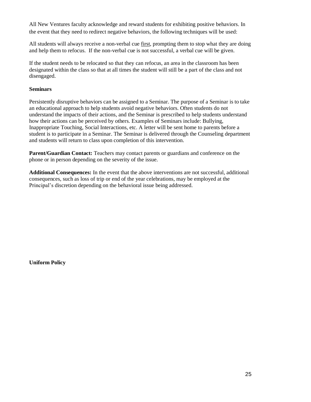All New Ventures faculty acknowledge and reward students for exhibiting positive behaviors. In the event that they need to redirect negative behaviors, the following techniques will be used:

All students will always receive a non-verbal cue first, prompting them to stop what they are doing and help them to refocus. If the non-verbal cue is not successful, a verbal cue will be given.

If the student needs to be relocated so that they can refocus, an area in the classroom has been designated within the class so that at all times the student will still be a part of the class and not disengaged.

## <span id="page-28-0"></span>**Seminars**

Persistently disruptive behaviors can be assigned to a Seminar. The purpose of a Seminar is to take an educational approach to help students avoid negative behaviors. Often students do not understand the impacts of their actions, and the Seminar is prescribed to help students understand how their actions can be perceived by others. Examples of Seminars include: Bullying, Inappropriate Touching, Social Interactions, etc. A letter will be sent home to parents before a student is to participate in a Seminar. The Seminar is delivered through the Counseling department and students will return to class upon completion of this intervention.

**Parent/Guardian Contact:** Teachers may contact parents or guardians and conference on the phone or in person depending on the severity of the issue.

**Additional Consequences:** In the event that the above interventions are not successful, additional consequences, such as loss of trip or end of the year celebrations, may be employed at the Principal's discretion depending on the behavioral issue being addressed.

<span id="page-28-1"></span>**Uniform Policy**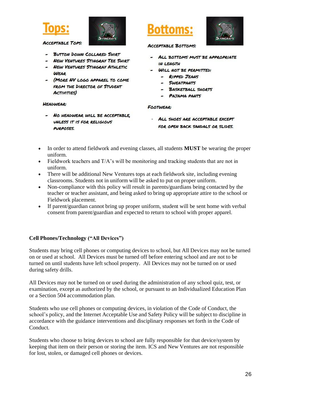



**ACCEPTABLE TOPS:** 

- BUTTON DOWN COLLARED SHIRT
- **NEW VENTURES STINGRAY TEE SHIRT**
- NEW VENTURES STINGRAY ATHLETIC **WEAR**
- (MORE NV LOGO APPAREL TO COME FROM THE DIRECTOR OF STUDENT **ACTIVITIES**)

#### **HEADWEAR:**

- NO HEADWEAR WILL BE ACCEPTABLE, UNLESS IT IS FOR RELIGIOUS PURPOSES.



**ACCEPTABLE BOTTOMS:** 

- ALL BOTTOMS MUST BE APPROPRIATE IN LENGTH
- WILL NOT BE PERMITTED:
	- RIPPED JEANS
	- SWEATPANTS
	- BASKETBALL SHORTS
	- PAJAMA PANTS

#### **FOOTWEAR:**

- ALL SHOES ARE ACCEPTABLE EXCEPT FOR OPEN BACK SANDALS OR SLIDES.

- In order to attend fieldwork and evening classes, all students **MUST** be wearing the proper uniform.
- Fieldwork teachers and  $T/A$ 's will be monitoring and tracking students that are not in uniform.
- There will be additional New Ventures tops at each fieldwork site, including evening classrooms. Students not in uniform will be asked to put on proper uniform.
- Non-compliance with this policy will result in parents/guardians being contacted by the teacher or teacher assistant, and being asked to bring up appropriate attire to the school or Fieldwork placement.
- If parent/guardian cannot bring up proper uniform, student will be sent home with verbal consent from parent/guardian and expected to return to school with proper apparel.

## <span id="page-29-0"></span>**Cell Phones/Technology ("All Devices")**

Students may bring cell phones or computing devices to school, but All Devices may not be turned on or used at school. All Devices must be turned off before entering school and are not to be turned on until students have left school property. All Devices may not be turned on or used during safety drills.

All Devices may not be turned on or used during the administration of any school quiz, test, or examination, except as authorized by the school, or pursuant to an Individualized Education Plan or a Section 504 accommodation plan.

Students who use cell phones or computing devices, in violation of the Code of Conduct, the school's policy, and the Internet Acceptable Use and Safety Policy will be subject to discipline in accordance with the guidance interventions and disciplinary responses set forth in the Code of Conduct.

Students who choose to bring devices to school are fully responsible for that device/system by keeping that item on their person or storing the item. ICS and New Ventures are not responsible for lost, stolen, or damaged cell phones or devices.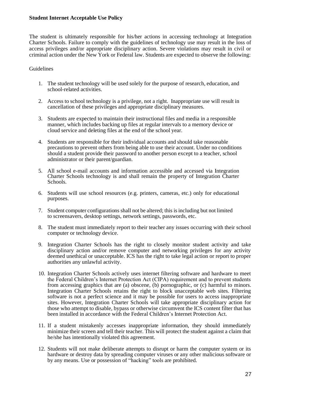#### <span id="page-30-0"></span>**Student Internet Acceptable Use Policy**

The student is ultimately responsible for his/her actions in accessing technology at Integration Charter Schools. Failure to comply with the guidelines of technology use may result in the loss of access privileges and/or appropriate disciplinary action. Severe violations may result in civil or criminal action under the New York or Federal law. Students are expected to observe the following:

## Guidelines

- 1. The student technology will be used solely for the purpose of research, education, and school-related activities.
- 2. Access to school technology is a privilege, not a right. Inappropriate use will result in cancellation of these privileges and appropriate disciplinary measures.
- 3. Students are expected to maintain their instructional files and media in a responsible manner, which includes backing up files at regular intervals to a memory device or cloud service and deleting files at the end of the school year.
- 4. Students are responsible for their individual accounts and should take reasonable precautions to prevent others from being able to use their account. Under no conditions should a student provide their password to another person except to a teacher, school administrator or their parent/guardian.
- 5. All school e-mail accounts and information accessible and accessed via Integration Charter Schools technology is and shall remain the property of Integration Charter Schools.
- 6. Students will use school resources (e.g. printers, cameras, etc.) only for educational purposes.
- 7. Student computer configurations shall not be altered; this isincluding but not limited to screensavers, desktop settings, network settings, passwords, etc.
- 8. The student must immediately report to their teacher any issues occurring with their school computer or technology device.
- 9. Integration Charter Schools has the right to closely monitor student activity and take disciplinary action and/or remove computer and networking privileges for any activity deemed unethical or unacceptable. ICS has the right to take legal action or report to proper authorities any unlawful activity.
- 10. Integration Charter Schools actively uses internet filtering software and hardware to meet the Federal Children's Internet Protection Act (CIPA) requirement and to prevent students from accessing graphics that are (a) obscene, (b) pornographic, or (c) harmful to minors. Integration Charter Schools retains the right to block unacceptable web sites. Filtering software is not a perfect science and it may be possible for users to access inappropriate sites. However, Integration Charter Schools will take appropriate disciplinary action for those who attempt to disable, bypass or otherwise circumvent the ICS content filter that has been installed in accordance with the Federal Children's Internet Protection Act.
- 11. If a student mistakenly accesses inappropriate information, they should immediately minimize their screen and tell their teacher. This will protect the student against a claim that he/she has intentionally violated this agreement.
- 12. Students will not make deliberate attempts to disrupt or harm the computer system or its hardware or destroy data by spreading computer viruses or any other malicious software or by any means. Use or possession of "hacking" tools are prohibited.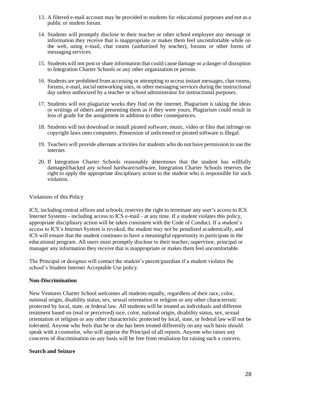- 13. A filtered e-mail account may be provided to students for educational purposes and not as a public or student forum.
- 14. Students will promptly disclose to their teacher or other school employee any message or information they receive that is inappropriate or makes them feel uncomfortable while on the web, using e-mail, chat rooms (authorized by teacher), forums or other forms of messaging services.
- 15. Students will not post or share information that could cause damage or a danger of disruption to Integration Charter Schools or any other organization or person.
- 16. Students are prohibited from accessing or attempting to access instant messages, chat rooms, forums, e-mail, social networking sites, or other messaging services during the instructional day unless authorized by a teacher or school administrator for instructional purposes.
- 17. Students will not plagiarize works they find on the internet. Plagiarism is taking the ideas or writings of others and presenting them as if they were yours. Plagiarism could result in loss of grade for the assignment in addition to other consequences.
- 18. Students will not download or install pirated software, music, video or files that infringe on copyright laws onto computers. Possession of unlicensed or pirated software is illegal.
- 19. Teachers will provide alternate activities for students who do not have permission to use the internet.
- 20. If Integration Charter Schools reasonably determines that the student has willfully damaged/hacked any school hardware/software, Integration Charter Schools reserves the right to apply the appropriate disciplinary action to the student who is responsible for such violation.

#### Violations of this Policy

ICS, including central offices and schools, reserves the right to terminate any user's access to ICS Internet Systems - including access to ICS e-mail - at any time. If a student violates this policy, appropriate disciplinary action will be taken consistent with the Code of Conduct. If a student's access to ICS's Internet System is revoked, the student may not be penalized academically, and ICS will ensure that the student continues to have a meaningful opportunity to participate in the educational program. All users must promptly disclose to their teacher, supervisor, principal or manager any information they receive that is inappropriate or makes them feel uncomfortable.

The Principal or designee will contact the student's parent/guardian if a student violates the school's Student Internet Acceptable Use policy.

## <span id="page-31-0"></span>**Non-Discrimination**

New Ventures Charter School welcomes all students equally, regardless of their race, color, national origin, disability status, sex, sexual orientation or religion or any other characteristic protected by local, state, or federal law. All students will be treated as individuals and different treatment based on (real or perceived) race, color, national origin, disability status, sex, sexual orientation or religion or any other characteristic protected by local, state, or federal law will not be tolerated. Anyone who feels that he or she has been treated differently on any such basis should speak with a counselor, who will apprise the Principal of all reports. Anyone who raises any concerns of discrimination on any basis will be free from retaliation for raising such a concern.

#### <span id="page-31-1"></span>**Search and Seizure**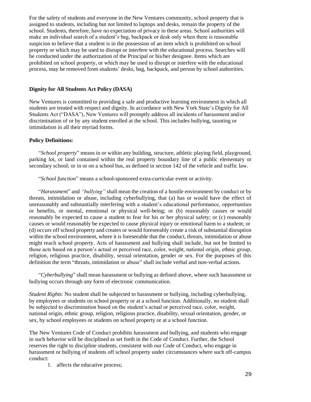For the safety of students and everyone in the New Ventures community, school property that is assigned to students, including but not limited to laptops and desks, remain the property of the school. Students, therefore, have no expectation of privacy in these areas. School authorities will make an individual search of a student's bag, backpack or desk only when there is reasonable suspicion to believe that a student is in the possession of an item which is prohibited on school property or which may be used to disrupt or interfere with the educational process. Searches will be conducted under the authorization of the Principal or his/her designee. Items which are prohibited on school property, or which may be used to disrupt or interfere with the educational process, may be removed from students' desks, bag, backpack, and person by school authorities.

## <span id="page-32-0"></span>**Dignity for All Students Act Policy (DASA)**

New Ventures is committed to providing a safe and productive learning environment in which all students are treated with respect and dignity. In accordance with New York State's Dignity for All Students Act ("DASA"), New Ventures will promptly address all incidents of harassment and/or discrimination of or by any student enrolled at the school. This includes bullying, taunting or intimidation in all their myriad forms.

#### <span id="page-32-1"></span>**Policy Definitions:**

"*School property*" means in or within any building, structure, athletic playing field, playground, parking lot, or land contained within the real property boundary line of a public elementary or secondary school; or in or on a school bus, as defined in section 142 of the vehicle and traffic law.

"*School function*" means a school-sponsored extra-curricular event or activity.

"*Harassment*" and *"bullying"* shall mean the creation of a hostile environment by conduct or by threats, intimidation or abuse, including cyberbullying, that (a) has or would have the effect of unreasonably and substantially interfering with a student's educational performance, opportunities or benefits, or mental, emotional or physical well-being; or (b) reasonably causes or would reasonably be expected to cause a student to fear for his or her physical safety; or (c) reasonably causes or would reasonably be expected to cause physical injury or emotional harm to a student; or (d) occurs off school property and creates or would foreseeably create a risk of substantial disruption within the school environment, where it is foreseeable that the conduct, threats, intimidation or abuse might reach school property. Acts of harassment and bullying shall include, but not be limited to those acts based on a person's actual or perceived race, color, weight, national origin, ethnic group, religion, religious practice, disability, sexual orientation, gender or sex. For the purposes of this definition the term "threats, intimidation or abuse" shall include verbal and non-verbal actions.

"*Cyberbullying*" shall mean harassment or bullying as defined above, where such harassment or bullying occurs through any form of electronic communication.

*Student Rights*: No student shall be subjected to harassment or bullying, including cyberbullying, by employees or students on school property or at a school function. Additionally, no student shall be subjected to discrimination based on the student's actual or perceived race, color, weight, national origin, ethnic group, religion, religious practice, disability, sexual orientation, gender, or sex, by school employees or students on school property or at a school function.

The New Ventures Code of Conduct prohibits harassment and bullying, and students who engage in such behavior will be disciplined as set forth in the Code of Conduct. Further, the School reserves the right to discipline students, consistent with our Code of Conduct, who engage in harassment or bullying of students off school property under circumstances where such off-campus conduct:

1. affects the educative process;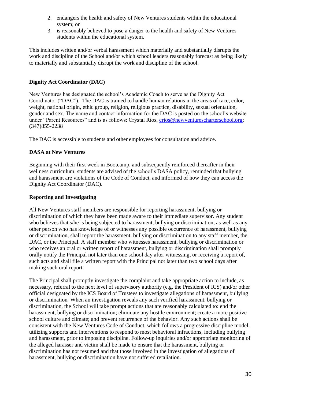- 2. endangers the health and safety of New Ventures students within the educational system; or
- 3. is reasonably believed to pose a danger to the health and safety of New Ventures students within the educational system.

This includes written and/or verbal harassment which materially and substantially disrupts the work and discipline of the School and/or which school leaders reasonably forecast as being likely to materially and substantially disrupt the work and discipline of the school.

## <span id="page-33-0"></span>**Dignity Act Coordinator (DAC)**

New Ventures has designated the school's Academic Coach to serve as the Dignity Act Coordinator ("DAC"). The DAC is trained to handle human relations in the areas of race, color, weight, national origin, ethic group, religion, religious practice, disability, sexual orientation, gender and sex. The name and contact information for the DAC is posted on the school's website under "Parent Resources" and is as follows: Crystal Rios, [crios@newventurescharterschool.org;](mailto:crios@newventurescharterschool.org) (347)855-2238

The DAC is accessible to students and other employees for consultation and advice.

## <span id="page-33-1"></span>**DASA at New Ventures**

Beginning with their first week in Bootcamp, and subsequently reinforced thereafter in their wellness curriculum, students are advised of the school's DASA policy, reminded that bullying and harassment are violations of the Code of Conduct, and informed of how they can access the Dignity Act Coordinator (DAC).

## <span id="page-33-2"></span>**Reporting and Investigating**

All New Ventures staff members are responsible for reporting harassment, bullying or discrimination of which they have been made aware to their immediate supervisor. Any student who believes that s/he is being subjected to harassment, bullying or discrimination, as well as any other person who has knowledge of or witnesses any possible occurrence of harassment, bullying or discrimination, shall report the harassment, bullying or discrimination to any staff member, the DAC, or the Principal. A staff member who witnesses harassment, bullying or discrimination or who receives an oral or written report of harassment, bullying or discrimination shall promptly orally notify the Principal not later than one school day after witnessing, or receiving a report of, such acts and shall file a written report with the Principal not later than two school days after making such oral report.

The Principal shall promptly investigate the complaint and take appropriate action to include, as necessary, referral to the next level of supervisory authority (e.g. the President of ICS) and/or other official designated by the ICS Board of Trustees to investigate allegations of harassment, bullying or discrimination*.* When an investigation reveals any such verified harassment, bullying or discrimination, the School will take prompt actions that are reasonably calculated to: end the harassment, bullying or discrimination; eliminate any hostile environment; create a more positive school culture and climate; and prevent recurrence of the behavior. Any such actions shall be consistent with the New Ventures Code of Conduct, which follows a progressive discipline model, utilizing supports and interventions to respond to most behavioral infractions, including bullying and harassment, prior to imposing discipline. Follow-up inquiries and/or appropriate monitoring of the alleged harasser and victim shall be made to ensure that the harassment, bullying or discrimination has not resumed and that those involved in the investigation of allegations of harassment, bullying or discrimination have not suffered retaliation.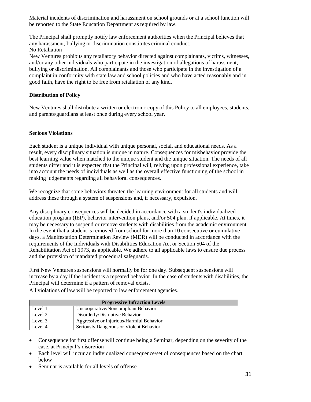Material incidents of discrimination and harassment on school grounds or at a school function will be reported to the State Education Department as required by law.

The Principal shall promptly notify law enforcement authorities when the Principal believes that any harassment, bullying or discrimination constitutes criminal conduct. No Retaliation

New Ventures prohibits any retaliatory behavior directed against complainants, victims, witnesses, and/or any other individuals who participate in the investigation of allegations of harassment, bullying or discrimination. All complainants and those who participate in the investigation of a complaint in conformity with state law and school policies and who have acted reasonably and in good faith, have the right to be free from retaliation of any kind.

## <span id="page-34-0"></span>**Distribution of Policy**

New Ventures shall distribute a written or electronic copy of this Policy to all employees, students, and parents/guardians at least once during every school year.

## <span id="page-34-1"></span>**Serious Violations**

Each student is a unique individual with unique personal, social, and educational needs. As a result, every disciplinary situation is unique in nature. Consequences for misbehavior provide the best learning value when matched to the unique student and the unique situation. The needs of all students differ and it is expected that the Principal will, relying upon professional experience, take into account the needs of individuals as well as the overall effective functioning of the school in making judgements regarding all behavioral consequences.

We recognize that some behaviors threaten the learning environment for all students and will address these through a system of suspensions and, if necessary, expulsion.

Any disciplinary consequences will be decided in accordance with a student's individualized education program (IEP), behavior intervention plans, and/or 504 plan, if applicable. At times, it may be necessary to suspend or remove students with disabilities from the academic environment. In the event that a student is removed from school for more than 10 consecutive or cumulative days, a Manifestation Determination Review (MDR) will be conducted in accordance with the requirements of the Individuals with Disabilities Education Act or Section 504 of the Rehabilitation Act of 1973, as applicable. We adhere to all applicable laws to ensure due process and the provision of mandated procedural safeguards.

First New Ventures suspensions will normally be for one day. Subsequent suspensions will increase by a day if the incident is a repeated behavior. In the case of students with disabilities, the Principal will determine if a pattern of removal exists.

All violations of law will be reported to law enforcement agencies.

| <b>Progressive Infraction Levels</b> |                                          |  |  |  |
|--------------------------------------|------------------------------------------|--|--|--|
| Level 1                              | Uncooperative/Noncompliant Behavior      |  |  |  |
| Level 2                              | Disorderly/Disruptive Behavior           |  |  |  |
| Level 3                              | Aggressive or Injurious/Harmful Behavior |  |  |  |
| Level 4                              | Seriously Dangerous or Violent Behavior  |  |  |  |

- Consequence for first offense will continue being a Seminar, depending on the severity of the case, at Principal's discretion
- Each level will incur an individualized consequence/set of consequences based on the chart below
- Seminar is available for all levels of offense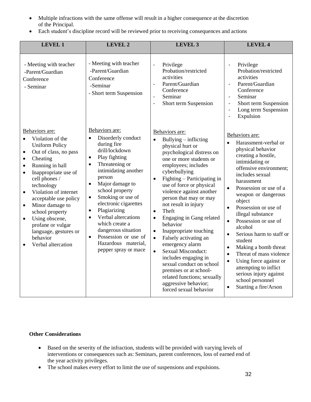- Multiple infractions with the same offense will result in a higher consequence at the discretion of the Principal.
- Each student's discipline record will be reviewed prior to receiving consequences and actions

| <b>LEVEL 1</b>                                                                                                                                                                                                                                                                                                                                                                                                                                                               | <b>LEVEL 2</b>                                                                                                                                                                                                                                                                                                                                                                                                                                                                                | <b>LEVEL 3</b>                                                                                                                                                                                                                                                                                                                                                                                                                                                                                                                                                                                                                                                                                          | <b>LEVEL 4</b>                                                                                                                                                                                                                                                                                                                                                                                                                                                                                                                                                                                                             |
|------------------------------------------------------------------------------------------------------------------------------------------------------------------------------------------------------------------------------------------------------------------------------------------------------------------------------------------------------------------------------------------------------------------------------------------------------------------------------|-----------------------------------------------------------------------------------------------------------------------------------------------------------------------------------------------------------------------------------------------------------------------------------------------------------------------------------------------------------------------------------------------------------------------------------------------------------------------------------------------|---------------------------------------------------------------------------------------------------------------------------------------------------------------------------------------------------------------------------------------------------------------------------------------------------------------------------------------------------------------------------------------------------------------------------------------------------------------------------------------------------------------------------------------------------------------------------------------------------------------------------------------------------------------------------------------------------------|----------------------------------------------------------------------------------------------------------------------------------------------------------------------------------------------------------------------------------------------------------------------------------------------------------------------------------------------------------------------------------------------------------------------------------------------------------------------------------------------------------------------------------------------------------------------------------------------------------------------------|
| - Meeting with teacher<br>-Parent/Guardian<br>Conference<br>- Seminar                                                                                                                                                                                                                                                                                                                                                                                                        | - Meeting with teacher<br>-Parent/Guardian<br>Conference<br>-Seminar<br>- Short term Suspension                                                                                                                                                                                                                                                                                                                                                                                               | Privilege<br>$\blacksquare$<br>Probation/restricted<br>activities<br>Parent/Guardian<br>$\overline{a}$<br>Conference<br>Seminar<br>$\overline{a}$<br>Short term Suspension<br>÷,                                                                                                                                                                                                                                                                                                                                                                                                                                                                                                                        | Privilege<br>÷,<br>Probation/restricted<br>activities<br>Parent/Guardian<br>÷,<br>Conference<br>Seminar<br>$\overline{\phantom{a}}$<br>Short term Suspension<br>$\blacksquare$<br>Long term Suspension<br>$\frac{1}{2}$<br>Expulsion<br>ä,                                                                                                                                                                                                                                                                                                                                                                                 |
| Behaviors are:<br>Violation of the<br>$\bullet$<br><b>Uniform Policy</b><br>Out of class, no pass<br>$\bullet$<br>Cheating<br>$\bullet$<br>Running in hall<br>$\bullet$<br>Inappropriate use of<br>$\bullet$<br>cell phones /<br>technology<br>Violation of internet<br>$\bullet$<br>acceptable use policy<br>Minor damage to<br>$\bullet$<br>school property<br>Using obscene,<br>$\bullet$<br>profane or vulgar<br>language, gestures or<br>behavior<br>Verbal altercation | Behaviors are:<br>Disorderly conduct<br>$\bullet$<br>during fire<br>drill/lockdown<br>Play fighting<br>$\bullet$<br>Threatening or<br>$\bullet$<br>intimidating another<br>person<br>Major damage to<br>$\bullet$<br>school property<br>Smoking or use of<br>$\bullet$<br>electronic cigarettes<br>Plagiarizing<br>$\bullet$<br>Verbal altercations<br>$\bullet$<br>which create a<br>dangerous situation<br>Possession or use of<br>$\bullet$<br>Hazardous material,<br>pepper spray or mace | Behaviors are:<br>Bullying $-$ inflicting<br>$\bullet$<br>physical hurt or<br>psychological distress on<br>one or more students or<br>employees; includes<br>cyberbullying<br>Fighting - Participating in<br>$\bullet$<br>use of force or physical<br>violence against another<br>person that may or may<br>not result in injury<br>Theft<br>$\bullet$<br>Engaging in Gang related<br>behavior<br>Inappropriate touching<br>$\bullet$<br>Falsely activating an<br>$\bullet$<br>emergency alarm<br><b>Sexual Misconduct:</b><br>$\bullet$<br>includes engaging in<br>sexual conduct on school<br>premises or at school-<br>related functions; sexually<br>aggressive behavior;<br>forced sexual behavior | Behaviors are:<br>Harassment-verbal or<br>physical behavior<br>creating a hostile,<br>intimidating or<br>offensive environment;<br>includes sexual<br>harassment<br>Possession or use of a<br>$\bullet$<br>weapon or dangerous<br>object<br>Possession or use of<br>$\bullet$<br>illegal substance<br>Possession or use of<br>$\bullet$<br>alcohol<br>Serious harm to staff or<br>student<br>Making a bomb threat<br>$\bullet$<br>Threat of mass violence<br>$\bullet$<br>Using force against or<br>$\bullet$<br>attempting to inflict<br>serious injury against<br>school personnel<br>Starting a fire/Arson<br>$\bullet$ |

## <span id="page-35-0"></span>**Other Considerations**

- Based on the severity of the infraction, students will be provided with varying levels of interventions or consequences such as: Seminars, parent conferences, loss of earned end of the year activity privileges.
- The school makes every effort to limit the use of suspensions and expulsions.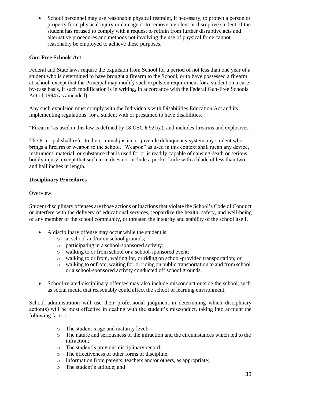• School personnel may use reasonable physical restraint, if necessary, to protect a person or property from physical injury or damage or to remove a violent or disruptive student, if the student has refused to comply with a request to refrain from further disruptive acts and alternative procedures and methods not involving the use of physical force cannot reasonably be employed to achieve these purposes.

## <span id="page-36-0"></span>**Gun Free Schools Act**

Federal and State laws require the expulsion from School for a period of not less than one year of a student who is determined to have brought a firearm to the School, or to have possessed a firearm at school, except that the Principal may modify such expulsion requirement for a student on a caseby-case basis, if such modification is in writing, in accordance with the Federal Gun-Free Schools Act of 1994 (as amended).

Any such expulsion must comply with the Individuals with Disabilities Education Act and its implementing regulations, for a student with or presumed to have disabilities.

"Firearm" as used in this law is defined by 18 USC § 921(a), and includes firearms and explosives.

The Principal shall refer to the criminal justice or juvenile delinquency system any student who brings a firearm or weapon to the school. "Weapon" as used in this context shall mean any device, instrument, material, or substance that is used for or is readily capable of causing death or serious bodily injury, except that such term does not include a pocket knife with a blade of less than two and half inches in length.

## <span id="page-36-1"></span>**Disciplinary Procedures**

## **Overview**

Student disciplinary offenses are those actions or inactions that violate the School's Code of Conduct or interfere with the delivery of educational services, jeopardize the health, safety, and well-being of any member of the school community, or threaten the integrity and stability of the school itself.

- A disciplinary offense may occur while the student is:
	- o at school and/or on school grounds;
	- o participating in a school-sponsored activity;
	- o walking to or from school or a school-sponsored event;
	- o walking to or from, waiting for, or riding on school-provided transportation; or
	- o walking to or from, waiting for, or riding on public transportation to and from school or a school-sponsored activity conducted off school grounds.
- School-related disciplinary offenses may also include misconduct outside the school, such as social media that reasonably could affect the school or learning environment.

School administration will use their professional judgment in determining which disciplinary action(s) will be most effective in dealing with the student's misconduct, taking into account the following factors:

- o The student's age and maturity level;
- o The nature and seriousness of the infraction and the circumstances which led to the infraction;
- o The student's previous disciplinary record;
- o The effectiveness of other forms of discipline;
- o Information from parents, teachers and/or others, as appropriate;
- o The student's attitude; and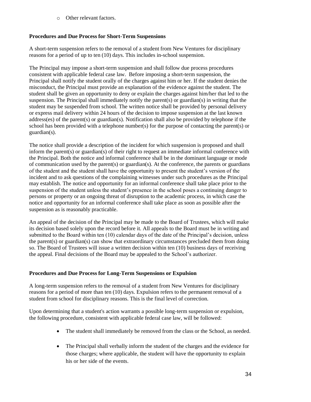o Other relevant factors.

## <span id="page-37-0"></span>**Procedures and Due Process for Short-Term Suspensions**

A short-term suspension refers to the removal of a student from New Ventures for disciplinary reasons for a period of up to ten (10) days. This includes in-school suspension.

The Principal may impose a short-term suspension and shall follow due process procedures consistent with applicable federal case law. Before imposing a short-term suspension, the Principal shall notify the student orally of the charges against him or her. If the student denies the misconduct, the Principal must provide an explanation of the evidence against the student. The student shall be given an opportunity to deny or explain the charges against him/her that led to the suspension. The Principal shall immediately notify the parent(s) or guardian(s) in writing that the student may be suspended from school. The written notice shall be provided by personal delivery or express mail delivery within 24 hours of the decision to impose suspension at the last known address(es) of the parent(s) or guardian(s). Notification shall also be provided by telephone if the school has been provided with a telephone number(s) for the purpose of contacting the parent(s) or guardian(s).

The notice shall provide a description of the incident for which suspension is proposed and shall inform the parent(s) or guardian(s) of their right to request an immediate informal conference with the Principal. Both the notice and informal conference shall be in the dominant language or mode of communication used by the parent(s) or guardian(s). At the conference, the parents or guardians of the student and the student shall have the opportunity to present the student's version of the incident and to ask questions of the complaining witnesses under such procedures as the Principal may establish. The notice and opportunity for an informal conference shall take place prior to the suspension of the student unless the student's presence in the school poses a continuing danger to persons or property or an ongoing threat of disruption to the academic process, in which case the notice and opportunity for an informal conference shall take place as soon as possible after the suspension as is reasonably practicable.

An appeal of the decision of the Principal may be made to the Board of Trustees, which will make its decision based solely upon the record before it. All appeals to the Board must be in writing and submitted to the Board within ten (10) calendar days of the date of the Principal's decision, unless the parent(s) or guardian(s) can show that extraordinary circumstances precluded them from doing so. The Board of Trustees will issue a written decision within ten (10) business days of receiving the appeal. Final decisions of the Board may be appealed to the School's authorizer.

## <span id="page-37-1"></span>**Procedures and Due Process for Long-Term Suspensions or Expulsion**

A long-term suspension refers to the removal of a student from New Ventures for disciplinary reasons for a period of more than ten (10) days. Expulsion refers to the permanent removal of a student from school for disciplinary reasons. This is the final level of correction.

Upon determining that a student's action warrants a possible long-term suspension or expulsion, the following procedure, consistent with applicable federal case law, will be followed:

- The student shall immediately be removed from the class or the School, as needed.
- The Principal shall verbally inform the student of the charges and the evidence for those charges; where applicable, the student will have the opportunity to explain his or her side of the events.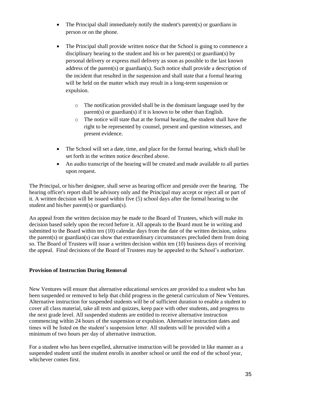- The Principal shall immediately notify the student's parent(s) or guardians in person or on the phone.
- The Principal shall provide written notice that the School is going to commence a disciplinary hearing to the student and his or her parent(s) or guardian(s) by personal delivery or express mail delivery as soon as possible to the last known address of the parent(s) or guardian(s). Such notice shall provide a description of the incident that resulted in the suspension and shall state that a formal hearing will be held on the matter which may result in a long-term suspension or expulsion.
	- o The notification provided shall be in the dominant language used by the parent(s) or guardian(s) if it is known to be other than English.
	- o The notice will state that at the formal hearing, the student shall have the right to be represented by counsel, present and question witnesses, and present evidence.
- The School will set a date, time, and place for the formal hearing, which shall be set forth in the written notice described above.
- An audio transcript of the hearing will be created and made available to all parties upon request.

The Principal, or his/her designee, shall serve as hearing officer and preside over the hearing. The hearing officer's report shall be advisory only and the Principal may accept or reject all or part of it. A written decision will be issued within five (5) school days after the formal hearing to the student and his/her parent(s) or guardian(s).

An appeal from the written decision may be made to the Board of Trustees, which will make its decision based solely upon the record before it. All appeals to the Board must be in writing and submitted to the Board within ten (10) calendar days from the date of the written decision, unless the parent(s) or guardian(s) can show that extraordinary circumstances precluded them from doing so. The Board of Trustees will issue a written decision within ten (10) business days of receiving the appeal. Final decisions of the Board of Trustees may be appealed to the School's authorizer.

## <span id="page-38-0"></span>**Provision of Instruction During Removal**

New Ventures will ensure that alternative educational services are provided to a student who has been suspended or removed to help that child progress in the general curriculum of New Ventures. Alternative instruction for suspended students will be of sufficient duration to enable a student to cover all class material, take all tests and quizzes, keep pace with other students, and progress to the next grade level. All suspended students are entitled to receive alternative instruction commencing within 24 hours of the suspension or expulsion. Alternative instruction dates and times will be listed on the student's suspension letter. All students will be provided with a minimum of two hours per day of alternative instruction.

For a student who has been expelled, alternative instruction will be provided in like manner as a suspended student until the student enrolls in another school or until the end of the school year, whichever comes first.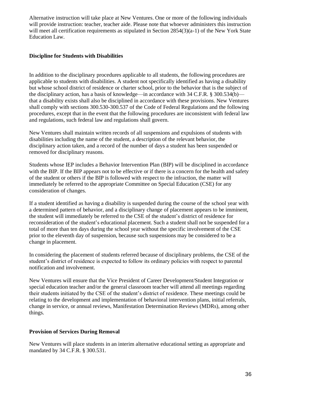Alternative instruction will take place at New Ventures. One or more of the following individuals will provide instruction: teacher, teacher aide. Please note that whoever administers this instruction will meet all certification requirements as stipulated in Section 2854(3)(a-1) of the New York State Education Law.

## <span id="page-39-0"></span>**Discipline for Students with Disabilities**

In addition to the disciplinary procedures applicable to all students, the following procedures are applicable to students with disabilities. A student not specifically identified as having a disability but whose school district of residence or charter school, prior to the behavior that is the subject of the disciplinary action, has a basis of knowledge—in accordance with 34 C.F.R. § 300.534(b) that a disability exists shall also be disciplined in accordance with these provisions. New Ventures shall comply with sections 300.530-300.537 of the Code of Federal Regulations and the following procedures, except that in the event that the following procedures are inconsistent with federal law and regulations, such federal law and regulations shall govern.

New Ventures shall maintain written records of all suspensions and expulsions of students with disabilities including the name of the student, a description of the relevant behavior, the disciplinary action taken, and a record of the number of days a student has been suspended or removed for disciplinary reasons.

Students whose IEP includes a Behavior Intervention Plan (BIP) will be disciplined in accordance with the BIP. If the BIP appears not to be effective or if there is a concern for the health and safety of the student or others if the BIP is followed with respect to the infraction, the matter will immediately be referred to the appropriate Committee on Special Education (CSE) for any consideration of changes.

If a student identified as having a disability is suspended during the course of the school year with a determined pattern of behavior, and a disciplinary change of placement appears to be imminent, the student will immediately be referred to the CSE of the student's district of residence for reconsideration of the student's educational placement. Such a student shall not be suspended for a total of more than ten days during the school year without the specific involvement of the CSE prior to the eleventh day of suspension, because such suspensions may be considered to be a change in placement.

In considering the placement of students referred because of disciplinary problems, the CSE of the student's district of residence is expected to follow its ordinary policies with respect to parental notification and involvement.

New Ventures will ensure that the Vice President of Career Development/Student Integration or special education teacher and/or the general classroom teacher will attend all meetings regarding their students initiated by the CSE of the student's district of residence. These meetings could be relating to the development and implementation of behavioral intervention plans, initial referrals, change in service, or annual reviews, Manifestation Determination Reviews (MDRs), among other things.

#### <span id="page-39-1"></span>**Provision of Services During Removal**

New Ventures will place students in an interim alternative educational setting as appropriate and mandated by 34 C.F.R. § 300.531.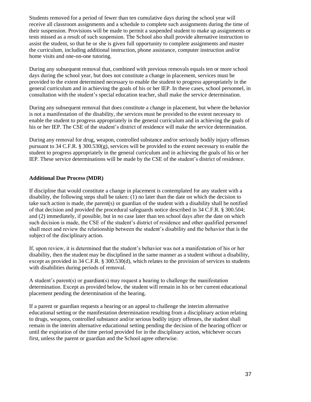Students removed for a period of fewer than ten cumulative days during the school year will receive all classroom assignments and a schedule to complete such assignments during the time of their suspension. Provisions will be made to permit a suspended student to make up assignments or tests missed as a result of such suspension. The School also shall provide alternative instruction to assist the student, so that he or she is given full opportunity to complete assignments and master the curriculum, including additional instruction, phone assistance, computer instruction and/or home visits and one-on-one tutoring.

During any subsequent removal that, combined with previous removals equals ten or more school days during the school year, but does not constitute a change in placement, services must be provided to the extent determined necessary to enable the student to progress appropriately in the general curriculum and in achieving the goals of his or her IEP. In these cases, school personnel, in consultation with the student's special education teacher, shall make the service determination.

During any subsequent removal that does constitute a change in placement, but where the behavior is not a manifestation of the disability, the services must be provided to the extent necessary to enable the student to progress appropriately in the general curriculum and in achieving the goals of his or her IEP. The CSE of the student's district of residence will make the service determination.

During any removal for drug, weapon, controlled substance and/or seriously bodily injury offenses pursuant to 34 C.F.R. § 300.530(g), services will be provided to the extent necessary to enable the student to progress appropriately in the general curriculum and in achieving the goals of his or her IEP. These service determinations will be made by the CSE of the student's district of residence.

#### <span id="page-40-0"></span>**Additional Due Process (MDR)**

If discipline that would constitute a change in placement is contemplated for any student with a disability, the following steps shall be taken: (1) no later than the date on which the decision to take such action is made, the parent(s) or guardian of the student with a disability shall be notified of that decision and provided the procedural safeguards notice described in 34 C.F.R. § 300.504; and (2) immediately, if possible, but in no case later than ten school days after the date on which such decision is made, the CSE of the student's district of residence and other qualified personnel shall meet and review the relationship between the student's disability and the behavior that is the subject of the disciplinary action.

If, upon review, it is determined that the student's behavior was not a manifestation of his or her disability, then the student may be disciplined in the same manner as a student without a disability, except as provided in 34 C.F.R. § 300.530(d), which relates to the provision of services to students with disabilities during periods of removal.

A student's parent(s) or guardian(s) may request a hearing to challenge the manifestation determination. Except as provided below, the student will remain in his or her current educational placement pending the determination of the hearing.

If a parent or guardian requests a hearing or an appeal to challenge the interim alternative educational setting or the manifestation determination resulting from a disciplinary action relating to drugs, weapons, controlled substance and/or serious bodily injury offenses, the student shall remain in the interim alternative educational setting pending the decision of the hearing officer or until the expiration of the time period provided for in the disciplinary action, whichever occurs first, unless the parent or guardian and the School agree otherwise.